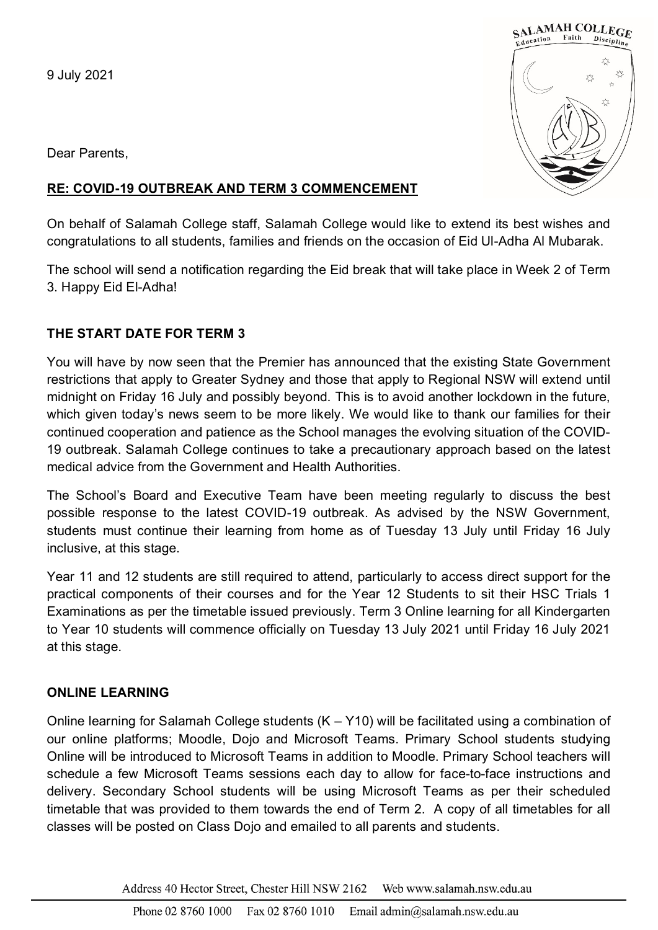9 July 2021



Dear Parents,

## **RE: COVID-19 OUTBREAK AND TERM 3 COMMENCEMENT**

On behalf of Salamah College staff, Salamah College would like to extend its best wishes and congratulations to all students, families and friends on the occasion of Eid Ul-Adha Al Mubarak.

The school will send a notification regarding the Eid break that will take place in Week 2 of Term 3. Happy Eid El-Adha!

# **THE START DATE FOR TERM 3**

You will have by now seen that the Premier has announced that the existing State Government restrictions that apply to Greater Sydney and those that apply to Regional NSW will extend until midnight on Friday 16 July and possibly beyond. This is to avoid another lockdown in the future, which given today's news seem to be more likely. We would like to thank our families for their continued cooperation and patience as the School manages the evolving situation of the COVID-19 outbreak. Salamah College continues to take a precautionary approach based on the latest medical advice from the Government and Health Authorities.

The School's Board and Executive Team have been meeting regularly to discuss the best possible response to the latest COVID-19 outbreak. As advised by the NSW Government, students must continue their learning from home as of Tuesday 13 July until Friday 16 July inclusive, at this stage.

Year 11 and 12 students are still required to attend, particularly to access direct support for the practical components of their courses and for the Year 12 Students to sit their HSC Trials 1 Examinations as per the timetable issued previously. Term 3 Online learning for all Kindergarten to Year 10 students will commence officially on Tuesday 13 July 2021 until Friday 16 July 2021 at this stage.

# **ONLINE LEARNING**

Online learning for Salamah College students (K – Y10) will be facilitated using a combination of our online platforms; Moodle, Dojo and Microsoft Teams. Primary School students studying Online will be introduced to Microsoft Teams in addition to Moodle. Primary School teachers will schedule a few Microsoft Teams sessions each day to allow for face-to-face instructions and delivery. Secondary School students will be using Microsoft Teams as per their scheduled timetable that was provided to them towards the end of Term 2. A copy of all timetables for all classes will be posted on Class Dojo and emailed to all parents and students.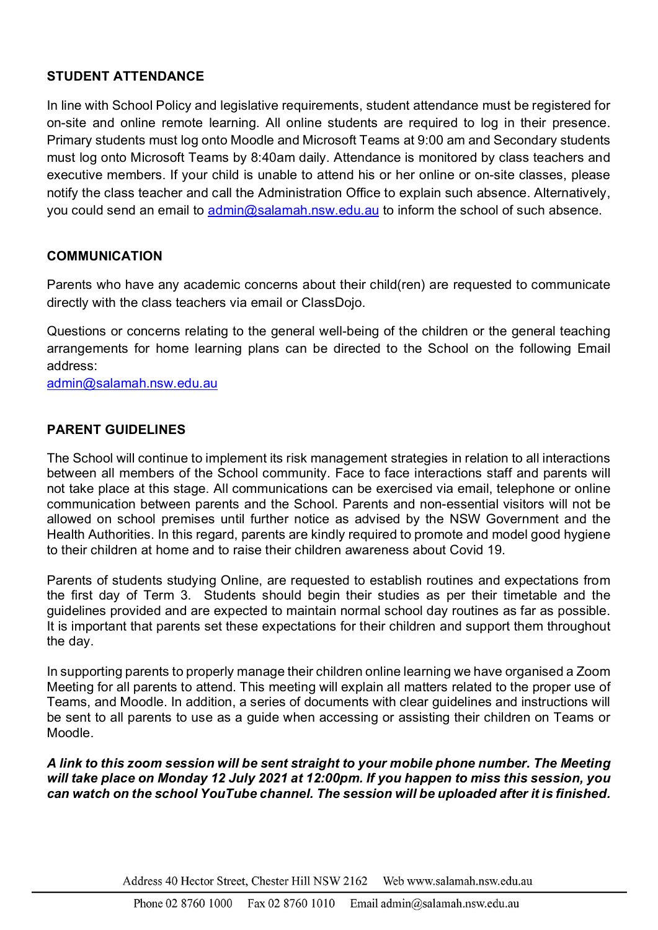### **STUDENT ATTENDANCE**

In line with School Policy and legislative requirements, student attendance must be registered for on-site and online remote learning. All online students are required to log in their presence. Primary students must log onto Moodle and Microsoft Teams at 9:00 am and Secondary students must log onto Microsoft Teams by 8:40am daily. Attendance is monitored by class teachers and executive members. If your child is unable to attend his or her online or on-site classes, please notify the class teacher and call the Administration Office to explain such absence. Alternatively, you could send an email to [admin@salamah.nsw.edu.au](mailto:admin@salamah.nsw.edu.au) to inform the school of such absence.

#### **COMMUNICATION**

Parents who have any academic concerns about their child(ren) are requested to communicate directly with the class teachers via email or ClassDojo.

Questions or concerns relating to the general well-being of the children or the general teaching arrangements for home learning plans can be directed to the School on the following Email address:

[admin@salamah.nsw.edu.au](mailto:admin@salamah.nsw.edu.au)

## **PARENT GUIDELINES**

The School will continue to implement its risk management strategies in relation to all interactions between all members of the School community. Face to face interactions staff and parents will not take place at this stage. All communications can be exercised via email, telephone or online communication between parents and the School. Parents and non-essential visitors will not be allowed on school premises until further notice as advised by the NSW Government and the Health Authorities. In this regard, parents are kindly required to promote and model good hygiene to their children at home and to raise their children awareness about Covid 19.

Parents of students studying Online, are requested to establish routines and expectations from the first day of Term 3. Students should begin their studies as per their timetable and the guidelines provided and are expected to maintain normal school day routines as far as possible. It is important that parents set these expectations for their children and support them throughout the day.

In supporting parents to properly manage their children online learning we have organised a Zoom Meeting for all parents to attend. This meeting will explain all matters related to the proper use of Teams, and Moodle. In addition, a series of documents with clear guidelines and instructions will be sent to all parents to use as a guide when accessing or assisting their children on Teams or Moodle.

*A link to this zoom session will be sent straight to your mobile phone number. The Meeting will take place on Monday 12 July 2021 at 12:00pm. If you happen to miss this session, you can watch on the school YouTube channel. The session will be uploaded after it is finished.*

> Address 40 Hector Street, Chester Hill NSW 2162 Web www.salamah.nsw.edu.au